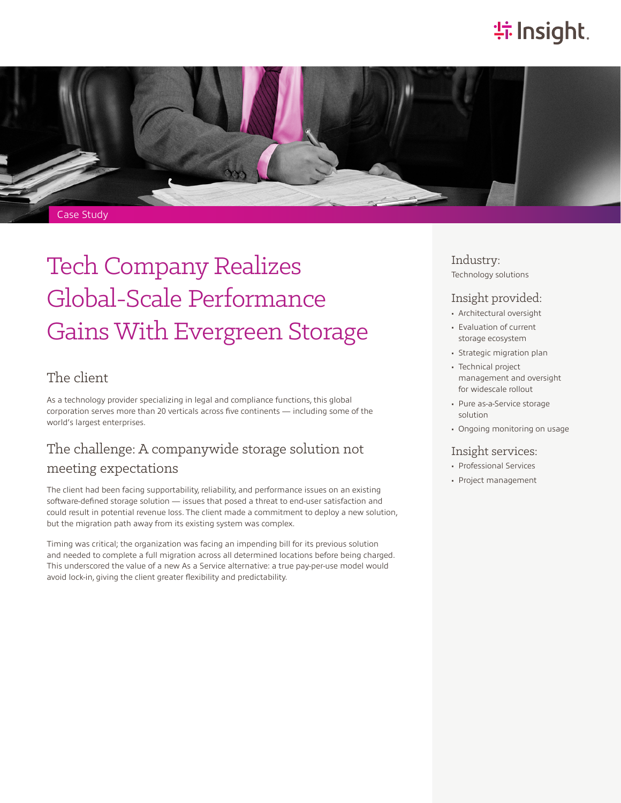# **特Insight**.



# Tech Company Realizes Global-Scale Performance Gains With Evergreen Storage

#### The client

As a technology provider specializing in legal and compliance functions, this global corporation serves more than 20 verticals across five continents — including some of the world's largest enterprises.

### The challenge: A companywide storage solution not meeting expectations

The client had been facing supportability, reliability, and performance issues on an existing software-defined storage solution — issues that posed a threat to end-user satisfaction and could result in potential revenue loss. The client made a commitment to deploy a new solution, but the migration path away from its existing system was complex.

Timing was critical; the organization was facing an impending bill for its previous solution and needed to complete a full migration across all determined locations before being charged. This underscored the value of a new As a Service alternative: a true pay-per-use model would avoid lock-in, giving the client greater flexibility and predictability.

Industry: Technology solutions

#### Insight provided:

- Architectural oversight
- Evaluation of current storage ecosystem
- Strategic migration plan
- Technical project management and oversight for widescale rollout
- Pure as-a-Service storage solution
- Ongoing monitoring on usage

#### Insight services:

- Professional Services
- Project management